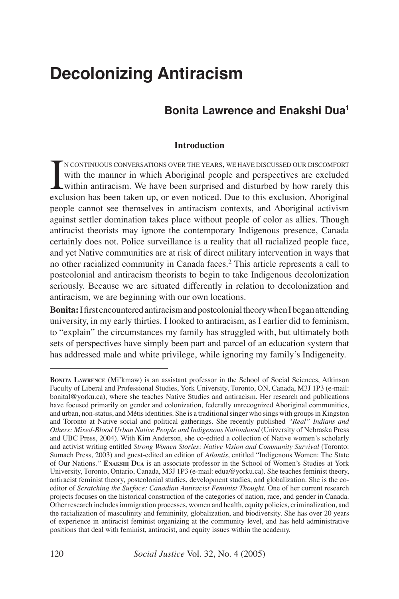# **Decolonizing Antiracism**

## **Bonita Lawrence and Enakshi Dua1**

#### **Introduction**

 $\prod_{\text{excl}}$ <sup>n</sup> continuous conversations over the years, we have discussed our discomfort with the manner in which Aboriginal people and perspectives are excluded within antiracism. We have been surprised and disturbed by how rarely this exclusion has been taken up, or even noticed. Due to this exclusion, Aboriginal people cannot see themselves in antiracism contexts, and Aboriginal activism against settler domination takes place without people of color as allies. Though antiracist theorists may ignore the contemporary Indigenous presence, Canada certainly does not. Police surveillance is a reality that all racialized people face, and yet Native communities are at risk of direct military intervention in ways that no other racialized community in Canada faces.2 This article represents a call to postcolonial and antiracism theorists to begin to take Indigenous decolonization seriously. Because we are situated differently in relation to decolonization and antiracism, we are beginning with our own locations.

**Bonita:** I first encountered antiracism and postcolonial theory when I began attending university, in my early thirties. I looked to antiracism, as I earlier did to feminism, to "explain" the circumstances my family has struggled with, but ultimately both sets of perspectives have simply been part and parcel of an education system that has addressed male and white privilege, while ignoring my family's Indigeneity.

**BONITA LAWRENCE** (Mi'kmaw) is an assistant professor in the School of Social Sciences, Atkinson Faculty of Liberal and Professional Studies, York University, Toronto, ON, Canada, M3J 1P3 (e-mail: bonital@yorku.ca), where she teaches Native Studies and antiracism. Her research and publications have focused primarily on gender and colonization, federally unrecognized Aboriginal communities, and urban, non-status, and Métis identities. She is a traditional singer who sings with groups in Kingston and Toronto at Native social and political gatherings. She recently published *"Real" Indians and Others: Mixed-Blood Urban Native People and Indigenous Nationhood* (University of Nebraska Press and UBC Press, 2004). With Kim Anderson, she co-edited a collection of Native women's scholarly and activist writing entitled *Strong Women Stories: Native Vision and Community Survival* (Toronto: Sumach Press, 2003) and guest-edited an edition of *Atlantis*, entitled "Indigenous Women: The State of Our Nations.*"* **Enakshi Dua** is an associate professor in the School of Women's Studies at York University, Toronto, Ontario, Canada, M3J 1P3 (e-mail: edua@yorku.ca). She teaches feminist theory, antiracist feminist theory, postcolonial studies, development studies, and globalization. She is the coeditor of *Scratching the Surface: Canadian Antiracist Feminist Thought*. One of her current research projects focuses on the historical construction of the categories of nation, race, and gender in Canada. Other research includesimmigration processes, women and health, equity policies, criminalization, and the racialization of masculinity and femininity, globalization, and biodiversity. She has over 20 years of experience in antiracist feminist organizing at the community level, and has held administrative positions that deal with feminist, antiracist, and equity issues within the academy.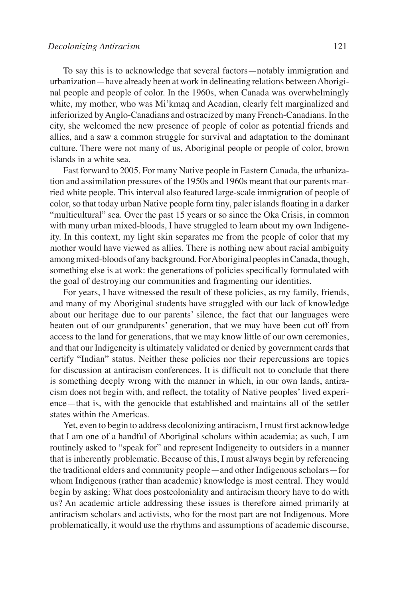To say this is to acknowledge that several factors—notably immigration and urbanization—have already been at work in delineating relations betweenAboriginal people and people of color. In the 1960s, when Canada was overwhelmingly white, my mother, who was Mi'kmaq and Acadian, clearly felt marginalized and inferiorized by Anglo-Canadians and ostracized by many French-Canadians. In the city, she welcomed the new presence of people of color as potential friends and allies, and a saw a common struggle for survival and adaptation to the dominant culture. There were not many of us, Aboriginal people or people of color, brown islands in a white sea.

Fast forward to 2005. For many Native people in Eastern Canada, the urbanization and assimilation pressures of the 1950s and 1960s meant that our parents married white people. This interval also featured large-scale immigration of people of color, so that today urban Native people form tiny, paler islands floating in a darker "multicultural" sea. Over the past 15 years or so since the Oka Crisis, in common with many urban mixed-bloods, I have struggled to learn about my own Indigeneity. In this context, my light skin separates me from the people of color that my mother would have viewed as allies. There is nothing new about racial ambiguity among mixed-bloods of any background. For Aboriginal peoples in Canada, though, something else is at work: the generations of policies specifically formulated with the goal of destroying our communities and fragmenting our identities.

For years, I have witnessed the result of these policies, as my family, friends, and many of my Aboriginal students have struggled with our lack of knowledge about our heritage due to our parents' silence, the fact that our languages were beaten out of our grandparents' generation, that we may have been cut off from access to the land for generations, that we may know little of our own ceremonies, and that our Indigeneity is ultimately validated or denied by government cards that certify "Indian" status. Neither these policies nor their repercussions are topics for discussion at antiracism conferences. It is difficult not to conclude that there is something deeply wrong with the manner in which, in our own lands, antiracism does not begin with, and reflect, the totality of Native peoples' lived experience—that is, with the genocide that established and maintains all of the settler states within the Americas.

Yet, even to begin to address decolonizing antiracism, I must first acknowledge that I am one of a handful of Aboriginal scholars within academia; as such, I am routinely asked to "speak for" and represent Indigeneity to outsiders in a manner that is inherently problematic. Because of this, I must always begin by referencing the traditional elders and community people—and other Indigenous scholars—for whom Indigenous (rather than academic) knowledge is most central. They would begin by asking: What does postcoloniality and antiracism theory have to do with us? An academic article addressing these issues is therefore aimed primarily at antiracism scholars and activists, who for the most part are not Indigenous. More problematically, it would use the rhythms and assumptions of academic discourse,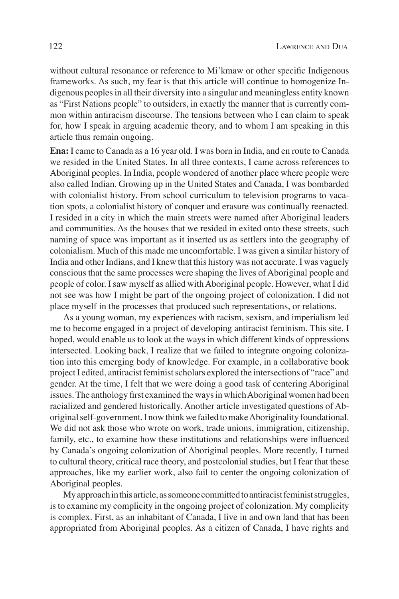without cultural resonance or reference to Mi'kmaw or other specific Indigenous frameworks. As such, my fear is that this article will continue to homogenize Indigenous peoplesin all their diversity into a singular and meaningless entity known as "First Nations people" to outsiders, in exactly the manner that is currently common within antiracism discourse. The tensions between who I can claim to speak for, how I speak in arguing academic theory, and to whom I am speaking in this article thus remain ongoing.

**Ena:** I came to Canada as a 16 year old. I was born in India, and en route to Canada we resided in the United States. In all three contexts, I came across references to Aboriginal peoples. In India, people wondered of another place where people were also called Indian. Growing up in the United States and Canada, I was bombarded with colonialist history. From school curriculum to television programs to vacation spots, a colonialist history of conquer and erasure was continually reenacted. I resided in a city in which the main streets were named after Aboriginal leaders and communities. As the houses that we resided in exited onto these streets, such naming of space was important as it inserted us as settlers into the geography of colonialism. Much of this made me uncomfortable. I was given a similar history of India and other Indians, and I knew that this history was not accurate. I was vaguely conscious that the same processes were shaping the lives of Aboriginal people and people of color. I saw myself as allied with Aboriginal people. However, what I did not see was how I might be part of the ongoing project of colonization. I did not place myself in the processes that produced such representations, or relations.

As a young woman, my experiences with racism, sexism, and imperialism led me to become engaged in a project of developing antiracist feminism. This site, I hoped, would enable us to look at the ways in which different kinds of oppressions intersected. Looking back, I realize that we failed to integrate ongoing colonization into this emerging body of knowledge. For example, in a collaborative book project I edited, antiracist feminist scholars explored the intersections of "race" and gender. At the time, I felt that we were doing a good task of centering Aboriginal issues. The anthology first examined the ways in which Aboriginal women had been racialized and gendered historically. Another article investigated questions of Aboriginal self-government. I now think we failed to make Aboriginality foundational. We did not ask those who wrote on work, trade unions, immigration, citizenship, family, etc., to examine how these institutions and relationships were influenced by Canada's ongoing colonization of Aboriginal peoples. More recently, I turned to cultural theory, critical race theory, and postcolonial studies, but I fear that these approaches, like my earlier work, also fail to center the ongoing colonization of Aboriginal peoples.

My approach in this article, as someone committed to antiracist feminist struggles, isto examine my complicity in the ongoing project of colonization. My complicity is complex. First, as an inhabitant of Canada, I live in and own land that has been appropriated from Aboriginal peoples. As a citizen of Canada, I have rights and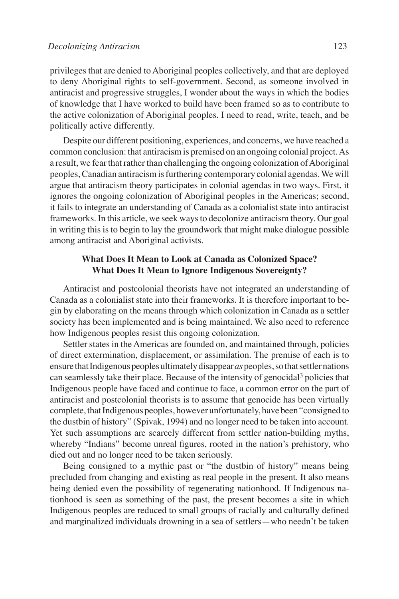privileges that are denied to Aboriginal peoples collectively, and that are deployed to deny Aboriginal rights to self-government. Second, as someone involved in antiracist and progressive struggles, I wonder about the ways in which the bodies of knowledge that I have worked to build have been framed so as to contribute to the active colonization of Aboriginal peoples. I need to read, write, teach, and be politically active differently.

Despite our different positioning, experiences, and concerns, we have reached a common conclusion: that antiracism is premised on an ongoing colonial project.As a result, we fear that rather than challenging the ongoing colonization of Aboriginal peoples,Canadian antiracismisfurthering contemporary colonial agendas.We will argue that antiracism theory participates in colonial agendas in two ways. First, it ignores the ongoing colonization of Aboriginal peoples in the Americas; second, it fails to integrate an understanding of Canada as a colonialist state into antiracist frameworks. In this article, we seek waysto decolonize antiracism theory. Our goal in writing this is to begin to lay the groundwork that might make dialogue possible among antiracist and Aboriginal activists.

#### **What Does It Mean to Look at Canada as Colonized Space? What Does It Mean to Ignore Indigenous Sovereignty?**

Antiracist and postcolonial theorists have not integrated an understanding of Canada as a colonialist state into their frameworks. It is therefore important to begin by elaborating on the means through which colonization in Canada as a settler society has been implemented and is being maintained. We also need to reference how Indigenous peoples resist this ongoing colonization.

Settler states in the Americas are founded on, and maintained through, policies of direct extermination, displacement, or assimilation. The premise of each is to ensure that Indigenous peoples ultimately disappear *as* peoples, so that settler nations can seamlessly take their place. Because of the intensity of genocidal<sup>3</sup> policies that Indigenous people have faced and continue to face, a common error on the part of antiracist and postcolonial theorists is to assume that genocide has been virtually complete, that Indigenous peoples, however unfortunately, have been "consigned to the dustbin of history" (Spivak, 1994) and no longer need to be taken into account. Yet such assumptions are scarcely different from settler nation-building myths, whereby "Indians" become unreal figures, rooted in the nation's prehistory, who died out and no longer need to be taken seriously.

Being consigned to a mythic past or "the dustbin of history" means being precluded from changing and existing as real people in the present. It also means being denied even the possibility of regenerating nationhood. If Indigenous nationhood is seen as something of the past, the present becomes a site in which Indigenous peoples are reduced to small groups of racially and culturally defined and marginalized individuals drowning in a sea of settlers—who needn't be taken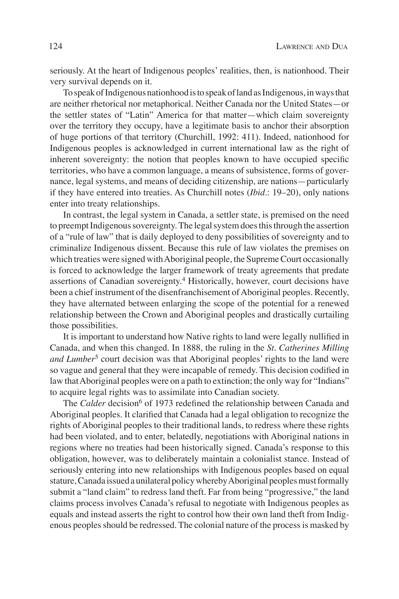seriously. At the heart of Indigenous peoples' realities, then, is nationhood. Their very survival depends on it.

TospeakofIndigenousnationhoodistospeakoflandasIndigenous,inwaysthat are neither rhetorical nor metaphorical. Neither Canada nor the United States—or the settler states of "Latin" America for that matter—which claim sovereignty over the territory they occupy, have a legitimate basis to anchor their absorption of huge portions of that territory (Churchill, 1992: 411). Indeed, nationhood for Indigenous peoples is acknowledged in current international law as the right of inherent sovereignty: the notion that peoples known to have occupied specific territories, who have a common language, a means of subsistence, forms of governance, legal systems, and means of deciding citizenship, are nations—particularly if they have entered into treaties. As Churchill notes (*Ibid*.: 19–20), only nations enter into treaty relationships.

In contrast, the legal system in Canada, a settler state, is premised on the need to preempt Indigenous sovereignty. The legal system does this through the assertion of a "rule of law" that is daily deployed to deny possibilities of sovereignty and to criminalize Indigenous dissent. Because this rule of law violates the premises on which treaties were signed with Aboriginal people, the Supreme Court occasionally is forced to acknowledge the larger framework of treaty agreements that predate assertions of Canadian sovereignty.4 Historically, however, court decisions have been a chief instrument of the disenfranchisement of Aboriginal peoples. Recently, they have alternated between enlarging the scope of the potential for a renewed relationship between the Crown and Aboriginal peoples and drastically curtailing those possibilities.

It is important to understand how Native rights to land were legally nullified in Canada, and when this changed. In 1888, the ruling in the *St. Catherines Milling* and *Lumber*<sup>5</sup> court decision was that Aboriginal peoples' rights to the land were so vague and general that they were incapable of remedy. This decision codified in law that Aboriginal peoples were on a path to extinction; the only way for "Indians" to acquire legal rights was to assimilate into Canadian society.

The *Calder* decision<sup>6</sup> of 1973 redefined the relationship between Canada and Aboriginal peoples. It clarified that Canada had a legal obligation to recognize the rights of Aboriginal peoples to their traditional lands, to redress where these rights had been violated, and to enter, belatedly, negotiations with Aboriginal nations in regions where no treaties had been historically signed. Canada's response to this obligation, however, was to deliberately maintain a colonialist stance. Instead of seriously entering into new relationships with Indigenous peoples based on equal stature, Canada issued a unilateral policy whereby Aboriginal peoples must formally submit a "land claim" to redress land theft. Far from being "progressive," the land claims process involves Canada's refusal to negotiate with Indigenous peoples as equals and instead asserts the right to control how their own land theft from Indigenous peoplesshould be redressed. The colonial nature of the processis masked by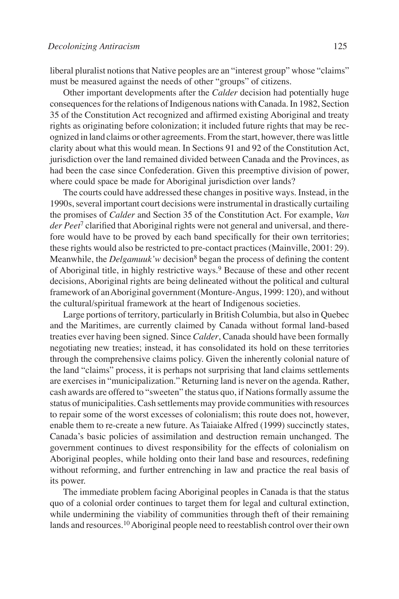liberal pluralist notions that Native peoples are an "interest group" whose "claims" must be measured against the needs of other "groups" of citizens.

Other important developments after the *Calder* decision had potentially huge consequences for the relations of Indigenous nations with Canada. In 1982, Section 35 of the Constitution Act recognized and affirmed existing Aboriginal and treaty rights as originating before colonization; it included future rights that may be recognized in land claims or other agreements. From the start, however, there waslittle clarity about what this would mean. In Sections 91 and 92 of the Constitution Act, jurisdiction over the land remained divided between Canada and the Provinces, as had been the case since Confederation. Given this preemptive division of power, where could space be made for Aboriginal jurisdiction over lands?

The courts could have addressed these changes in positive ways. Instead, in the 1990s, several important court decisions were instrumental in drastically curtailing the promises of *Calder* and Section 35 of the Constitution Act. For example, *Van der Peet*<sup>7</sup> clarified that Aboriginal rights were not general and universal, and therefore would have to be proved by each band specifically for their own territories; these rights would also be restricted to pre-contact practices(Mainville, 2001: 29). Meanwhile, the *Delgamuuk'w* decision<sup>8</sup> began the process of defining the content of Aboriginal title, in highly restrictive ways.9 Because of these and other recent decisions, Aboriginal rights are being delineated without the political and cultural framework of anAboriginal government(Monture-Angus, 1999: 120), and without the cultural/spiritual framework at the heart of Indigenous societies.

Large portions of territory, particularly in British Columbia, but also in Quebec and the Maritimes, are currently claimed by Canada without formal land-based treaties ever having been signed. Since *Calder*, Canada should have been formally negotiating new treaties; instead, it has consolidated its hold on these territories through the comprehensive claims policy. Given the inherently colonial nature of the land "claims" process, it is perhaps not surprising that land claims settlements are exercises in "municipalization." Returning land is never on the agenda. Rather, cash awards are offered to "sweeten" the status quo, if Nationsformally assume the status of municipalities. Cash settlements may provide communities with resources to repair some of the worst excesses of colonialism; this route does not, however, enable them to re-create a new future. As Taiaiake Alfred (1999) succinctly states, Canada's basic policies of assimilation and destruction remain unchanged. The government continues to divest responsibility for the effects of colonialism on Aboriginal peoples, while holding onto their land base and resources, redefining without reforming, and further entrenching in law and practice the real basis of its power.

The immediate problem facing Aboriginal peoples in Canada is that the status quo of a colonial order continues to target them for legal and cultural extinction, while undermining the viability of communities through theft of their remaining lands and resources.<sup>10</sup> Aboriginal people need to reestablish control over their own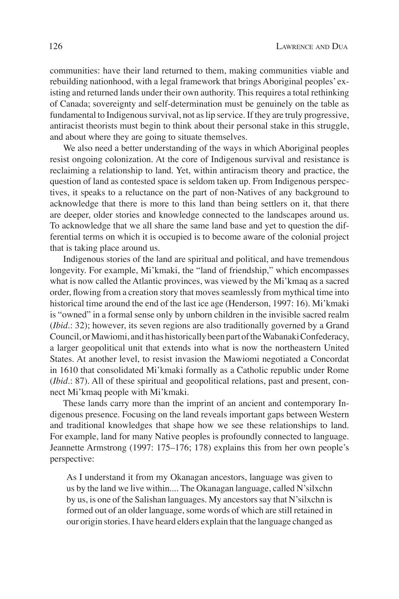communities: have their land returned to them, making communities viable and rebuilding nationhood, with a legal framework that brings Aboriginal peoples' existing and returned lands under their own authority. This requires a total rethinking of Canada; sovereignty and self-determination must be genuinely on the table as fundamental to Indigenous survival, not as lip service. If they are truly progressive, antiracist theorists must begin to think about their personal stake in this struggle, and about where they are going to situate themselves.

We also need a better understanding of the ways in which Aboriginal peoples resist ongoing colonization. At the core of Indigenous survival and resistance is reclaiming a relationship to land. Yet, within antiracism theory and practice, the question of land as contested space is seldom taken up. From Indigenous perspectives, it speaks to a reluctance on the part of non-Natives of any background to acknowledge that there is more to this land than being settlers on it, that there are deeper, older stories and knowledge connected to the landscapes around us. To acknowledge that we all share the same land base and yet to question the differential terms on which it is occupied is to become aware of the colonial project that is taking place around us.

Indigenous stories of the land are spiritual and political, and have tremendous longevity. For example, Mi'kmaki, the "land of friendship," which encompasses what is now called the Atlantic provinces, was viewed by the Mi'kmaq as a sacred order, flowing from a creation story that moves seamlessly from mythical time into historical time around the end of the last ice age (Henderson, 1997: 16). Mi'kmaki is "owned" in a formal sense only by unborn children in the invisible sacred realm (*Ibid*.: 32); however, its seven regions are also traditionally governed by a Grand Council, or Mawiomi, and it has historically been part of the Wabanaki Confederacy, a larger geopolitical unit that extends into what is now the northeastern United States. At another level, to resist invasion the Mawiomi negotiated a Concordat in 1610 that consolidated Mi'kmaki formally as a Catholic republic under Rome (*Ibid*.: 87). All of these spiritual and geopolitical relations, past and present, connect Mi'kmaq people with Mi'kmaki.

These lands carry more than the imprint of an ancient and contemporary Indigenous presence. Focusing on the land reveals important gaps between Western and traditional knowledges that shape how we see these relationships to land. For example, land for many Native peoples is profoundly connected to language. Jeannette Armstrong (1997: 175–176; 178) explains this from her own people's perspective:

As I understand it from my Okanagan ancestors, language was given to us by the land we live within.... The Okanagan language, called N'silxchn by us, is one of the Salishan languages. My ancestors say that N'silxchn is formed out of an older language, some words of which are still retained in our origin stories.I have heard elders explain that the language changed as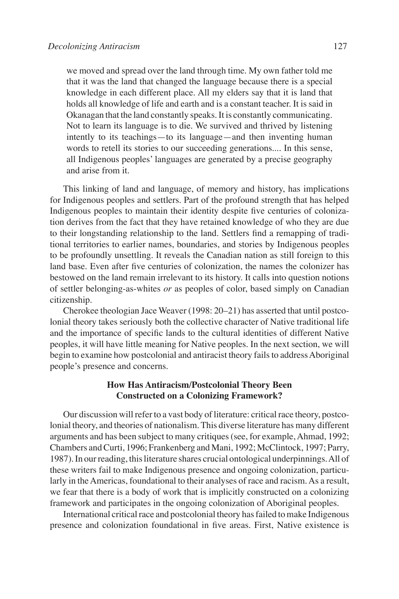we moved and spread over the land through time. My own father told me that it was the land that changed the language because there is a special knowledge in each different place. All my elders say that it is land that holds all knowledge of life and earth and is a constant teacher. It is said in Okanagan that the land constantly speaks.It is constantly communicating. Not to learn its language is to die. We survived and thrived by listening intently to its teachings—to its language—and then inventing human words to retell its stories to our succeeding generations.... In this sense, all Indigenous peoples' languages are generated by a precise geography and arise from it.

This linking of land and language, of memory and history, has implications for Indigenous peoples and settlers. Part of the profound strength that has helped Indigenous peoples to maintain their identity despite five centuries of colonization derives from the fact that they have retained knowledge of who they are due to their longstanding relationship to the land. Settlers find a remapping of traditional territories to earlier names, boundaries, and stories by Indigenous peoples to be profoundly unsettling. It reveals the Canadian nation as still foreign to this land base. Even after five centuries of colonization, the names the colonizer has bestowed on the land remain irrelevant to its history. It calls into question notions of settler belonging-as-whites *or* as peoples of color, based simply on Canadian citizenship.

Cherokee theologian Jace Weaver (1998: 20–21) has asserted that until postcolonial theory takes seriously both the collective character of Native traditional life and the importance of specific lands to the cultural identities of different Native peoples, it will have little meaning for Native peoples. In the next section, we will begin to examine how postcolonial and antiracist theory fails to address Aboriginal people's presence and concerns.

#### **How Has Antiracism/Postcolonial Theory Been Constructed on a Colonizing Framework?**

Our discussion will refer to a vast body of literature: critical race theory, postcolonial theory, and theories of nationalism.This diverse literature has many different arguments and has been subject to many critiques(see, for example,Ahmad, 1992; Chambers andCurti, 1996; Frankenberg and Mani, 1992; McClintock, 1997; Parry, 1987). In our reading, this literature shares crucial ontological underpinnings. All of these writers fail to make Indigenous presence and ongoing colonization, particularly in the Americas, foundational to their analyses of race and racism. As a result, we fear that there is a body of work that is implicitly constructed on a colonizing framework and participates in the ongoing colonization of Aboriginal peoples.

International critical race and postcolonial theory has failed to make Indigenous presence and colonization foundational in five areas. First, Native existence is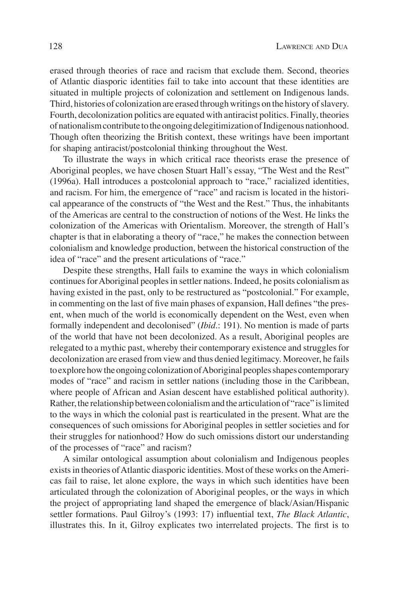erased through theories of race and racism that exclude them. Second, theories of Atlantic diasporic identities fail to take into account that these identities are situated in multiple projects of colonization and settlement on Indigenous lands. Third, histories of colonization are erased through writings on the history of slavery. Fourth, decolonization politics are equated with antiracist politics. Finally, theories of nationalism contribute to the ongoing delegitimization of Indigenous nationhood. Though often theorizing the British context, these writings have been important for shaping antiracist/postcolonial thinking throughout the West.

To illustrate the ways in which critical race theorists erase the presence of Aboriginal peoples, we have chosen Stuart Hall's essay, "The West and the Rest" (1996a). Hall introduces a postcolonial approach to "race," racialized identities, and racism. For him, the emergence of "race" and racism is located in the historical appearance of the constructs of "the West and the Rest." Thus, the inhabitants of the Americas are central to the construction of notions of the West. He links the colonization of the Americas with Orientalism. Moreover, the strength of Hall's chapter is that in elaborating a theory of "race," he makes the connection between colonialism and knowledge production, between the historical construction of the idea of "race" and the present articulations of "race."

Despite these strengths, Hall fails to examine the ways in which colonialism continues for Aboriginal peoples in settler nations. Indeed, he posits colonialism as having existed in the past, only to be restructured as "postcolonial." For example, in commenting on the last of five main phases of expansion, Hall defines "the present, when much of the world is economically dependent on the West, even when formally independent and decolonised" (*Ibid*.: 191). No mention is made of parts of the world that have not been decolonized. As a result, Aboriginal peoples are relegated to a mythic past, whereby their contemporary existence and struggles for decolonization are erased from view and thus denied legitimacy. Moreover, he fails to explore how the ongoing colonization of Aboriginal peoples shapes contemporary modes of "race" and racism in settler nations (including those in the Caribbean, where people of African and Asian descent have established political authority). Rather, the relationship between colonialism and the articulation of "race" is limited to the ways in which the colonial past is rearticulated in the present. What are the consequences of such omissions for Aboriginal peoples in settler societies and for their struggles for nationhood? How do such omissions distort our understanding of the processes of "race" and racism?

A similar ontological assumption about colonialism and Indigenous peoples exists in theories of Atlantic diasporic identities. Most of these works on the Americas fail to raise, let alone explore, the ways in which such identities have been articulated through the colonization of Aboriginal peoples, or the ways in which the project of appropriating land shaped the emergence of black/Asian/Hispanic settler formations. Paul Gilroy's (1993: 17) influential text, *The Black Atlantic*, illustrates this. In it, Gilroy explicates two interrelated projects. The first is to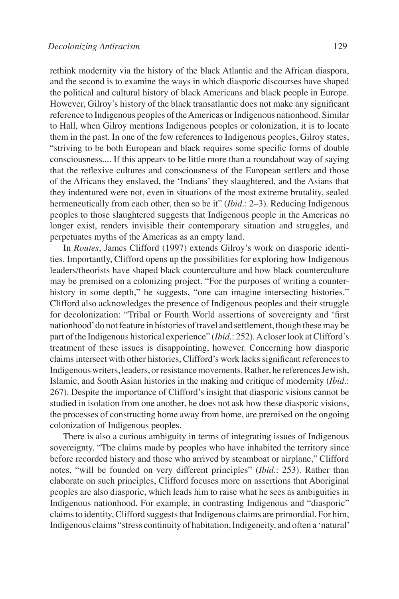rethink modernity via the history of the black Atlantic and the African diaspora, and the second is to examine the ways in which diasporic discourses have shaped the political and cultural history of black Americans and black people in Europe. However, Gilroy's history of the black transatlantic does not make any significant reference to Indigenous peoples of the Americas or Indigenous nationhood. Similar to Hall, when Gilroy mentions Indigenous peoples or colonization, it is to locate them in the past. In one of the few references to Indigenous peoples, Gilroy states, "striving to be both European and black requires some specific forms of double consciousness.... If this appears to be little more than a roundabout way of saying that the reflexive cultures and consciousness of the European settlers and those of the Africans they enslaved, the 'Indians' they slaughtered, and the Asians that they indentured were not, even in situations of the most extreme brutality, sealed hermeneutically from each other, then so be it" (*Ibid*.: 2–3). Reducing Indigenous peoples to those slaughtered suggests that Indigenous people in the Americas no longer exist, renders invisible their contemporary situation and struggles, and perpetuates myths of the Americas as an empty land.

In *Routes*, James Clifford (1997) extends Gilroy's work on diasporic identities. Importantly, Clifford opens up the possibilities for exploring how Indigenous leaders/theorists have shaped black counterculture and how black counterculture may be premised on a colonizing project. "For the purposes of writing a counterhistory in some depth," he suggests, "one can imagine intersecting histories." Clifford also acknowledges the presence of Indigenous peoples and their struggle for decolonization: "Tribal or Fourth World assertions of sovereignty and 'first nationhood' do not feature in histories of travel and settlement, though these may be part of the Indigenous historical experience" (*Ibid.*: 252). A closer look at Clifford's treatment of these issues is disappointing, however. Concerning how diasporic claims intersect with other histories, Clifford's work lacks significant references to Indigenous writers, leaders, or resistance movements. Rather, he references Jewish, Islamic, and South Asian histories in the making and critique of modernity (*Ibid*.: 267). Despite the importance of Clifford's insight that diasporic visions cannot be studied in isolation from one another, he does not ask how these diasporic visions, the processes of constructing home away from home, are premised on the ongoing colonization of Indigenous peoples.

There is also a curious ambiguity in terms of integrating issues of Indigenous sovereignty. "The claims made by peoples who have inhabited the territory since before recorded history and those who arrived by steamboat or airplane," Clifford notes, "will be founded on very different principles" (*Ibid*.: 253). Rather than elaborate on such principles, Clifford focuses more on assertions that Aboriginal peoples are also diasporic, which leads him to raise what he sees as ambiguities in Indigenous nationhood. For example, in contrasting Indigenous and "diasporic" claims to identity, Clifford suggests that Indigenous claims are primordial. For him, Indigenous claims "stress continuity of habitation, Indigeneity, and often a 'natural'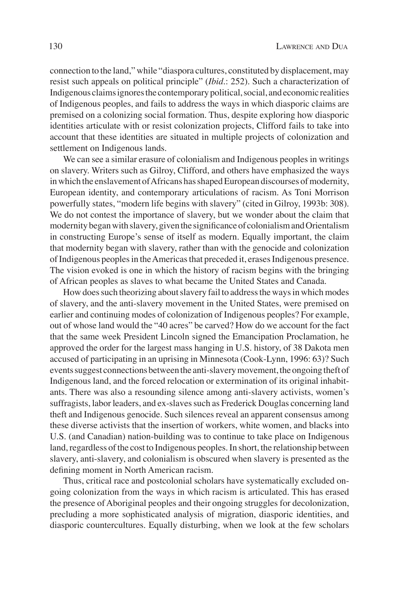connection to the land," while "diaspora cultures, constituted by displacement,may resist such appeals on political principle" (*Ibid*.: 252). Such a characterization of Indigenous claimsignoresthe contemporarypolitical,social, andeconomic realities of Indigenous peoples, and fails to address the ways in which diasporic claims are premised on a colonizing social formation. Thus, despite exploring how diasporic identities articulate with or resist colonization projects, Clifford fails to take into account that these identities are situated in multiple projects of colonization and settlement on Indigenous lands.

We can see a similar erasure of colonialism and Indigenous peoples in writings on slavery. Writers such as Gilroy, Clifford, and others have emphasized the ways in which the enslavement of Africans has shaped European discourses of modernity, European identity, and contemporary articulations of racism. As Toni Morrison powerfully states, "modern life begins with slavery" (cited in Gilroy, 1993b: 308). We do not contest the importance of slavery, but we wonder about the claim that modernity began with slavery, given the significance of colonialism and Orientalism in constructing Europe's sense of itself as modern. Equally important, the claim that modernity began with slavery, rather than with the genocide and colonization of Indigenous peoples in the Americas that preceded it, erases Indigenous presence. The vision evoked is one in which the history of racism begins with the bringing of African peoples as slaves to what became the United States and Canada.

How does such theorizing about slavery fail to address the ways in which modes of slavery, and the anti-slavery movement in the United States, were premised on earlier and continuing modes of colonization of Indigenous peoples? For example, out of whose land would the "40 acres" be carved? How do we account for the fact that the same week President Lincoln signed the Emancipation Proclamation, he approved the order for the largest mass hanging in U.S. history, of 38 Dakota men accused of participating in an uprising in Minnesota (Cook-Lynn, 1996: 63)? Such events suggest connections between the anti-slavery movement, the ongoing theft of Indigenous land, and the forced relocation or extermination of its original inhabitants. There was also a resounding silence among anti-slavery activists, women's suffragists, labor leaders, and ex-slaves such as Frederick Douglas concerning land theft and Indigenous genocide. Such silences reveal an apparent consensus among these diverse activists that the insertion of workers, white women, and blacks into U.S. (and Canadian) nation-building was to continue to take place on Indigenous land, regardless of the cost to Indigenous peoples. In short, the relationship between slavery, anti-slavery, and colonialism is obscured when slavery is presented as the defining moment in North American racism.

Thus, critical race and postcolonial scholars have systematically excluded ongoing colonization from the ways in which racism is articulated. This has erased the presence of Aboriginal peoples and their ongoing struggles for decolonization, precluding a more sophisticated analysis of migration, diasporic identities, and diasporic countercultures. Equally disturbing, when we look at the few scholars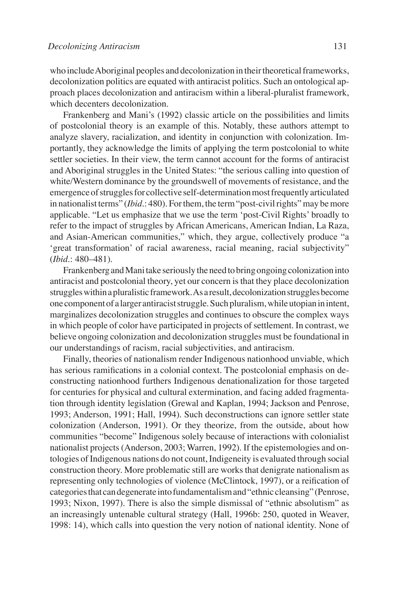who include Aboriginal peoples and decolonization in their theoretical frameworks, decolonization politics are equated with antiracist politics. Such an ontological approach places decolonization and antiracism within a liberal-pluralist framework, which decenters decolonization.

Frankenberg and Mani's (1992) classic article on the possibilities and limits of postcolonial theory is an example of this. Notably, these authors attempt to analyze slavery, racialization, and identity in conjunction with colonization. Importantly, they acknowledge the limits of applying the term postcolonial to white settler societies. In their view, the term cannot account for the forms of antiracist and Aboriginal struggles in the United States: "the serious calling into question of white/Western dominance by the groundswell of movements of resistance, and the emergence of struggles for collective self-determination most frequently articulated in nationalist terms" (*Ibid.*: 480). For them, the term "post-civil rights" may be more applicable. "Let us emphasize that we use the term 'post-Civil Rights' broadly to refer to the impact of struggles by African Americans, American Indian, La Raza, and Asian-American communities," which, they argue, collectively produce "a 'great transformation' of racial awareness, racial meaning, racial subjectivity" (*Ibid*.: 480–481).

Frankenberg and Manitake seriously the need to bring ongoing colonization into antiracist and postcolonial theory, yet our concern isthat they place decolonization struggles within a pluralistic framework. As a result, decolonization struggles become one component of a larger antiracist struggle. Such pluralism, while utopian in intent, marginalizes decolonization struggles and continues to obscure the complex ways in which people of color have participated in projects of settlement. In contrast, we believe ongoing colonization and decolonization struggles must be foundational in our understandings of racism, racial subjectivities, and antiracism.

Finally, theories of nationalism render Indigenous nationhood unviable, which has serious ramifications in a colonial context. The postcolonial emphasis on deconstructing nationhood furthers Indigenous denationalization for those targeted for centuries for physical and cultural extermination, and facing added fragmentation through identity legislation (Grewal and Kaplan, 1994; Jackson and Penrose, 1993; Anderson, 1991; Hall, 1994). Such deconstructions can ignore settler state colonization (Anderson, 1991). Or they theorize, from the outside, about how communities "become" Indigenous solely because of interactions with colonialist nationalist projects(Anderson, 2003; Warren, 1992). If the epistemologies and ontologies of Indigenous nations do not count, Indigeneity is evaluated through social construction theory. More problematic still are works that denigrate nationalism as representing only technologies of violence (McClintock, 1997), or a reification of categoriesthat candegenerate intofundamentalismand"ethnic cleansing" (Penrose, 1993; Nixon, 1997). There is also the simple dismissal of "ethnic absolutism" as an increasingly untenable cultural strategy (Hall, 1996b: 250, quoted in Weaver, 1998: 14), which calls into question the very notion of national identity. None of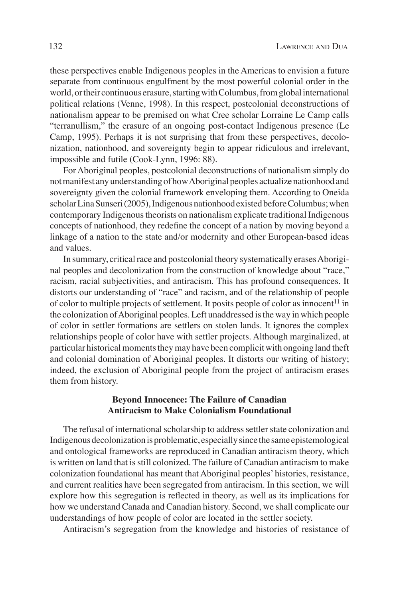these perspectives enable Indigenous peoples in the Americas to envision a future separate from continuous engulfment by the most powerful colonial order in the world, or their continuous erasure, starting with Columbus, from global international political relations (Venne, 1998). In this respect, postcolonial deconstructions of nationalism appear to be premised on what Cree scholar Lorraine Le Camp calls "terranullism," the erasure of an ongoing post-contact Indigenous presence (Le Camp, 1995). Perhaps it is not surprising that from these perspectives, decolonization, nationhood, and sovereignty begin to appear ridiculous and irrelevant, impossible and futile (Cook-Lynn, 1996: 88).

For Aboriginal peoples, postcolonial deconstructions of nationalism simply do not manifest any understanding of how Aboriginal peoples actualize nationhood and sovereignty given the colonial framework enveloping them. According to Oneida scholar Lina Sunseri (2005), Indigenous nationhood existed before Columbus; when contemporary Indigenous theorists on nationalism explicate traditional Indigenous concepts of nationhood, they redefine the concept of a nation by moving beyond a linkage of a nation to the state and/or modernity and other European-based ideas and values.

In summary, critical race and postcolonial theory systematically erases Aboriginal peoples and decolonization from the construction of knowledge about "race," racism, racial subjectivities, and antiracism. This has profound consequences. It distorts our understanding of "race" and racism, and of the relationship of people of color to multiple projects of settlement. It posits people of color as innocent<sup>11</sup> in the colonization of Aboriginal peoples. Left unaddressed is the way in which people of color in settler formations are settlers on stolen lands. It ignores the complex relationships people of color have with settler projects. Although marginalized, at particular historical moments they may have been complicit with ongoing land theft and colonial domination of Aboriginal peoples. It distorts our writing of history; indeed, the exclusion of Aboriginal people from the project of antiracism erases them from history.

#### **Beyond Innocence: The Failure of Canadian Antiracism to Make Colonialism Foundational**

The refusal of international scholarship to address settler state colonization and Indigenous decolonization is problematic, especially since the same epistemological and ontological frameworks are reproduced in Canadian antiracism theory, which is written on land that is still colonized. The failure of Canadian antiracism to make colonization foundational has meant that Aboriginal peoples' histories, resistance, and current realities have been segregated from antiracism. In this section, we will explore how this segregation is reflected in theory, as well as its implications for how we understand Canada and Canadian history. Second, we shall complicate our understandings of how people of color are located in the settler society.

Antiracism's segregation from the knowledge and histories of resistance of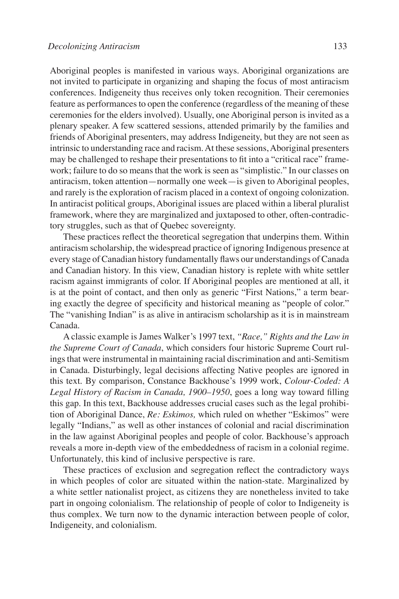Aboriginal peoples is manifested in various ways. Aboriginal organizations are not invited to participate in organizing and shaping the focus of most antiracism conferences. Indigeneity thus receives only token recognition. Their ceremonies feature as performances to open the conference (regardless of the meaning of these ceremonies for the elders involved). Usually, one Aboriginal person is invited as a plenary speaker. A few scattered sessions, attended primarily by the families and friends of Aboriginal presenters, may address Indigeneity, but they are not seen as intrinsic to understanding race and racism.At these sessions,Aboriginal presenters may be challenged to reshape their presentations to fit into a "critical race" framework; failure to do so means that the work is seen as "simplistic." In our classes on antiracism, token attention—normally one week—is given to Aboriginal peoples, and rarely is the exploration of racism placed in a context of ongoing colonization. In antiracist political groups, Aboriginal issues are placed within a liberal pluralist framework, where they are marginalized and juxtaposed to other, often-contradictory struggles, such as that of Quebec sovereignty.

These practices reflect the theoretical segregation that underpins them. Within antiracism scholarship, the widespread practice of ignoring Indigenous presence at every stage of Canadian history fundamentally flaws our understandings of Canada and Canadian history. In this view, Canadian history is replete with white settler racism against immigrants of color. If Aboriginal peoples are mentioned at all, it is at the point of contact, and then only as generic "First Nations," a term bearing exactly the degree of specificity and historical meaning as "people of color." The "vanishing Indian" is as alive in antiracism scholarship as it is in mainstream Canada.

A classic example is James Walker's 1997 text, *"Race," Rights and the Law in the Supreme Court of Canada*, which considers four historic Supreme Court rulings that were instrumental in maintaining racial discrimination and anti-Semitism in Canada. Disturbingly, legal decisions affecting Native peoples are ignored in this text. By comparison, Constance Backhouse's 1999 work, *Colour-Coded: A Legal History of Racism in Canada, 1900–1950*, goes a long way toward filling this gap. In this text, Backhouse addresses crucial cases such as the legal prohibition of Aboriginal Dance, *Re: Eskimos,* which ruled on whether "Eskimos" were legally "Indians," as well as other instances of colonial and racial discrimination in the law against Aboriginal peoples and people of color. Backhouse's approach reveals a more in-depth view of the embeddedness of racism in a colonial regime. Unfortunately, this kind of inclusive perspective is rare.

These practices of exclusion and segregation reflect the contradictory ways in which peoples of color are situated within the nation-state. Marginalized by a white settler nationalist project, as citizens they are nonetheless invited to take part in ongoing colonialism. The relationship of people of color to Indigeneity is thus complex. We turn now to the dynamic interaction between people of color, Indigeneity, and colonialism.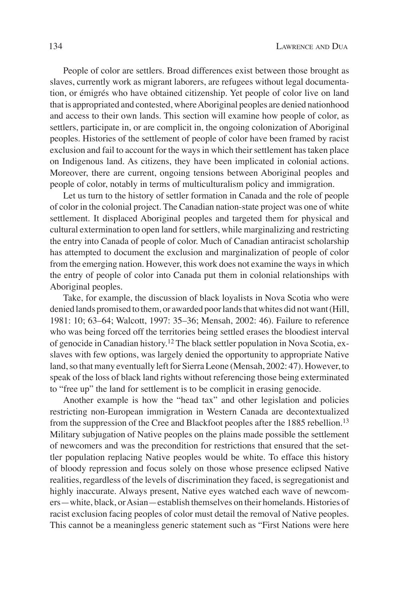People of color are settlers. Broad differences exist between those brought as slaves, currently work as migrant laborers, are refugees without legal documentation, or émigrés who have obtained citizenship. Yet people of color live on land that is appropriated and contested, whereAboriginal peoples are denied nationhood and access to their own lands. This section will examine how people of color, as settlers, participate in, or are complicit in, the ongoing colonization of Aboriginal peoples. Histories of the settlement of people of color have been framed by racist exclusion and fail to account for the ways in which their settlement has taken place on Indigenous land. As citizens, they have been implicated in colonial actions. Moreover, there are current, ongoing tensions between Aboriginal peoples and people of color, notably in terms of multiculturalism policy and immigration.

Let us turn to the history of settler formation in Canada and the role of people of color in the colonial project. The Canadian nation-state project was one of white settlement. It displaced Aboriginal peoples and targeted them for physical and cultural extermination to open land forsettlers, while marginalizing and restricting the entry into Canada of people of color. Much of Canadian antiracist scholarship has attempted to document the exclusion and marginalization of people of color from the emerging nation. However, this work does not examine the waysin which the entry of people of color into Canada put them in colonial relationships with Aboriginal peoples.

Take, for example, the discussion of black loyalists in Nova Scotia who were denied lands promised to them, or awarded poor lands that whites did not want (Hill, 1981: 10; 63–64; Walcott, 1997: 35–36; Mensah, 2002: 46). Failure to reference who was being forced off the territories being settled erases the bloodiest interval of genocide in Canadian history.12 The black settler population in Nova Scotia, exslaves with few options, was largely denied the opportunity to appropriate Native land, so that many eventually left for Sierra Leone (Mensah, 2002: 47). However, to speak of the loss of black land rights without referencing those being exterminated to "free up" the land for settlement is to be complicit in erasing genocide.

Another example is how the "head tax" and other legislation and policies restricting non-European immigration in Western Canada are decontextualized from the suppression of the Cree and Blackfoot peoples after the 1885 rebellion.<sup>13</sup> Military subjugation of Native peoples on the plains made possible the settlement of newcomers and was the precondition for restrictions that ensured that the settler population replacing Native peoples would be white. To efface this history of bloody repression and focus solely on those whose presence eclipsed Native realities, regardless of the levels of discrimination they faced, is segregationist and highly inaccurate. Always present, Native eyes watched each wave of newcomers—white, black, orAsian—establish themselves on their homelands. Histories of racist exclusion facing peoples of color must detail the removal of Native peoples. This cannot be a meaningless generic statement such as "First Nations were here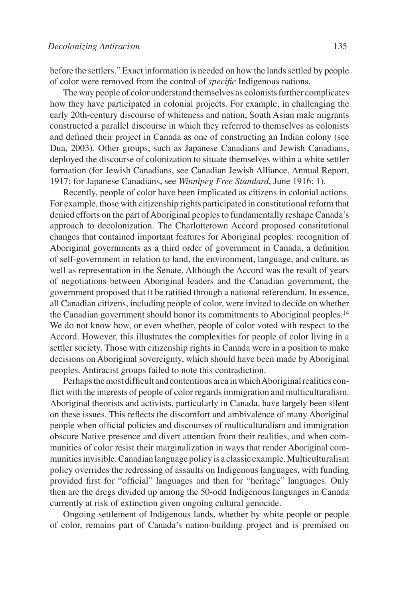before the settlers." Exact information is needed on how the lands settled by people of color were removed from the control of *specific* Indigenous nations.

The way people of color understand themselves as colonists further complicates how they have participated in colonial projects. For example, in challenging the early 20th-century discourse of whiteness and nation, South Asian male migrants constructed a parallel discourse in which they referred to themselves as colonists and defined their project in Canada as one of constructing an Indian colony (see Dua, 2003). Other groups, such as Japanese Canadians and Jewish Canadians, deployed the discourse of colonization to situate themselves within a white settler formation (for Jewish Canadians, see Canadian Jewish Alliance, Annual Report, 1917; for Japanese Canadians, see *Winnipeg Free Standard*, June 1916: 1).

Recently, people of color have been implicated as citizens in colonial actions. For example, those with citizenship rights participated in constitutional reform that denied efforts on the part of Aboriginal peoples to fundamentally reshape Canada's approach to decolonization. The Charlottetown Accord proposed constitutional changes that contained important features for Aboriginal peoples: recognition of Aboriginal governments as a third order of government in Canada, a definition of self-government in relation to land, the environment, language, and culture, as well as representation in the Senate. Although the Accord was the result of years of negotiations between Aboriginal leaders and the Canadian government, the government proposed that it be ratified through a national referendum. In essence, all Canadian citizens, including people of color, were invited to decide on whether the Canadian government should honor its commitments to Aboriginal peoples.<sup>14</sup> We do not know how, or even whether, people of color voted with respect to the Accord. However, this illustrates the complexities for people of color living in a settler society. Those with citizenship rights in Canada were in a position to make decisions on Aboriginal sovereignty, which should have been made by Aboriginal peoples. Antiracist groups failed to note this contradiction.

Perhaps the most difficult and contentious area in which Aboriginal realities conflict with the interests of people of color regards immigration and multiculturalism. Aboriginal theorists and activists, particularly in Canada, have largely been silent on these issues. This reflects the discomfort and ambivalence of many Aboriginal people when official policies and discourses of multiculturalism and immigration obscure Native presence and divert attention from their realities, and when communities of color resist their marginalization in ways that render Aboriginal communities invisible. Canadian language policy is a classic example. Multiculturalism policy overrides the redressing of assaults on Indigenous languages, with funding provided first for "official" languages and then for "heritage" languages. Only then are the dregs divided up among the 50-odd Indigenous languages in Canada currently at risk of extinction given ongoing cultural genocide.

Ongoing settlement of Indigenous lands, whether by white people or people of color, remains part of Canada's nation-building project and is premised on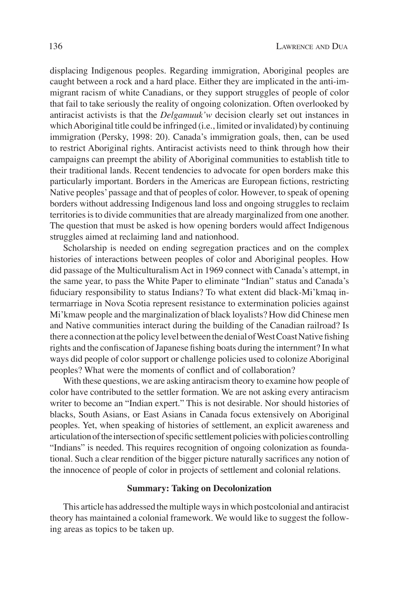displacing Indigenous peoples. Regarding immigration, Aboriginal peoples are caught between a rock and a hard place. Either they are implicated in the anti-immigrant racism of white Canadians, or they support struggles of people of color that fail to take seriously the reality of ongoing colonization. Often overlooked by antiracist activists is that the *Delgamuuk'w* decision clearly set out instances in which Aboriginal title could be infringed (i.e., limited or invalidated) by continuing immigration (Persky, 1998: 20). Canada's immigration goals, then, can be used to restrict Aboriginal rights. Antiracist activists need to think through how their campaigns can preempt the ability of Aboriginal communities to establish title to their traditional lands. Recent tendencies to advocate for open borders make this particularly important. Borders in the Americas are European fictions, restricting Native peoples'passage and that of peoples of color. However, to speak of opening borders without addressing Indigenous land loss and ongoing struggles to reclaim territories is to divide communities that are already marginalized from one another. The question that must be asked is how opening borders would affect Indigenous struggles aimed at reclaiming land and nationhood.

Scholarship is needed on ending segregation practices and on the complex histories of interactions between peoples of color and Aboriginal peoples. How did passage of the MulticulturalismAct in 1969 connect with Canada's attempt, in the same year, to pass the White Paper to eliminate "Indian" status and Canada's fiduciary responsibility to status Indians? To what extent did black-Mi'kmaq intermarriage in Nova Scotia represent resistance to extermination policies against Mi'kmaw people and the marginalization of black loyalists? How did Chinese men and Native communities interact during the building of the Canadian railroad? Is there a connection at the policy level between the denial of West Coast Native fishing rights and the confiscation of Japanese fishing boats during the internment? In what ways did people of color support or challenge policies used to colonize Aboriginal peoples? What were the moments of conflict and of collaboration?

With these questions, we are asking antiracism theory to examine how people of color have contributed to the settler formation. We are not asking every antiracism writer to become an "Indian expert." This is not desirable. Nor should histories of blacks, South Asians, or East Asians in Canada focus extensively on Aboriginal peoples. Yet, when speaking of histories of settlement, an explicit awareness and articulation of the intersection of specific settlement policies with policies controlling "Indians" is needed. This requires recognition of ongoing colonization as foundational. Such a clear rendition of the bigger picture naturally sacrifices any notion of the innocence of people of color in projects of settlement and colonial relations.

#### **Summary: Taking on Decolonization**

This article has addressed themultiplewaysinwhich postcolonial and antiracist theory has maintained a colonial framework. We would like to suggest the following areas as topics to be taken up.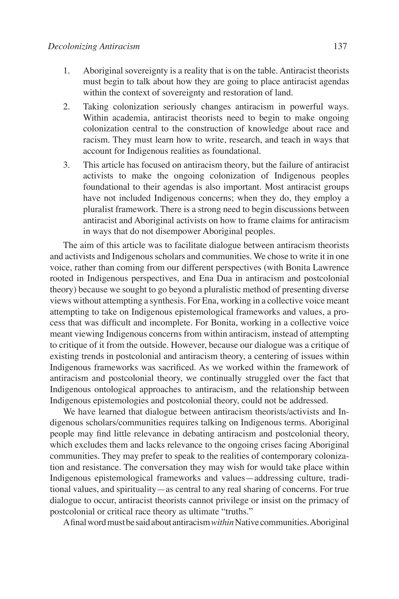- 1. Aboriginal sovereignty is a reality that is on the table. Antiracist theorists must begin to talk about how they are going to place antiracist agendas within the context of sovereignty and restoration of land.
- 2. Taking colonization seriously changes antiracism in powerful ways. Within academia, antiracist theorists need to begin to make ongoing colonization central to the construction of knowledge about race and racism. They must learn how to write, research, and teach in ways that account for Indigenous realities as foundational.
- 3. This article has focused on antiracism theory, but the failure of antiracist activists to make the ongoing colonization of Indigenous peoples foundational to their agendas is also important. Most antiracist groups have not included Indigenous concerns; when they do, they employ a pluralist framework. There is a strong need to begin discussions between antiracist and Aboriginal activists on how to frame claims for antiracism in ways that do not disempower Aboriginal peoples.

The aim of this article was to facilitate dialogue between antiracism theorists and activists and Indigenous scholars and communities. We chose to write it in one voice, rather than coming from our different perspectives (with Bonita Lawrence rooted in Indigenous perspectives, and Ena Dua in antiracism and postcolonial theory) because we sought to go beyond a pluralistic method of presenting diverse views without attempting a synthesis. For Ena, working in a collective voice meant attempting to take on Indigenous epistemological frameworks and values, a process that was difficult and incomplete. For Bonita, working in a collective voice meant viewing Indigenous concerns from within antiracism, instead of attempting to critique of it from the outside. However, because our dialogue was a critique of existing trends in postcolonial and antiracism theory, a centering of issues within Indigenous frameworks was sacrificed. As we worked within the framework of antiracism and postcolonial theory, we continually struggled over the fact that Indigenous ontological approaches to antiracism, and the relationship between Indigenous epistemologies and postcolonial theory, could not be addressed.

We have learned that dialogue between antiracism theorists/activists and Indigenous scholars/communities requires talking on Indigenous terms. Aboriginal people may find little relevance in debating antiracism and postcolonial theory, which excludes them and lacks relevance to the ongoing crises facing Aboriginal communities. They may prefer to speak to the realities of contemporary colonization and resistance. The conversation they may wish for would take place within Indigenous epistemological frameworks and values—addressing culture, traditional values, and spirituality—as central to any real sharing of concerns. For true dialogue to occur, antiracist theorists cannot privilege or insist on the primacy of postcolonial or critical race theory as ultimate "truths."

A final word must be said about antiracism *within*Nativecommunities.Aboriginal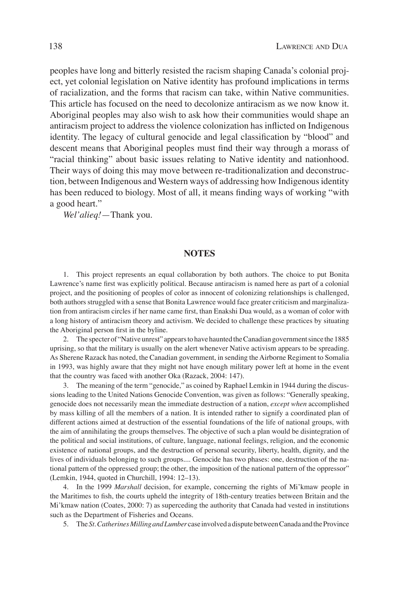peoples have long and bitterly resisted the racism shaping Canada's colonial project, yet colonial legislation on Native identity has profound implications in terms of racialization, and the forms that racism can take, within Native communities. This article has focused on the need to decolonize antiracism as we now know it. Aboriginal peoples may also wish to ask how their communities would shape an antiracism project to address the violence colonization has inflicted on Indigenous identity. The legacy of cultural genocide and legal classification by "blood" and descent means that Aboriginal peoples must find their way through a morass of "racial thinking" about basic issues relating to Native identity and nationhood. Their ways of doing this may move between re-traditionalization and deconstruction, between Indigenous and Western ways of addressing how Indigenousidentity has been reduced to biology. Most of all, it means finding ways of working "with a good heart."

*Wel'alieq!*—Thank you.

#### **NOTES**

1. This project represents an equal collaboration by both authors. The choice to put Bonita Lawrence's name first was explicitly political. Because antiracism is named here as part of a colonial project, and the positioning of peoples of color as innocent of colonizing relationships is challenged, both authors struggled with a sense that Bonita Lawrence would face greater criticism and marginalization from antiracism circles if her name came first, than Enakshi Dua would, as a woman of color with a long history of antiracism theory and activism. We decided to challenge these practices by situating the Aboriginal person first in the byline.

2. The specter of "Native unrest" appears to have haunted the Canadian government since the 1885 uprising, so that the military is usually on the alert whenever Native activism appears to be spreading. As Sherene Razack has noted, the Canadian government, in sending the Airborne Regiment to Somalia in 1993, was highly aware that they might not have enough military power left at home in the event that the country was faced with another Oka (Razack, 2004: 147).

3. The meaning of the term "genocide," as coined by Raphael Lemkin in 1944 during the discussions leading to the United Nations Genocide Convention, was given as follows: "Generally speaking, genocide does not necessarily mean the immediate destruction of a nation, *except when* accomplished by mass killing of all the members of a nation. It is intended rather to signify a coordinated plan of different actions aimed at destruction of the essential foundations of the life of national groups, with the aim of annihilating the groups themselves. The objective of such a plan would be disintegration of the political and social institutions, of culture, language, national feelings, religion, and the economic existence of national groups, and the destruction of personal security, liberty, health, dignity, and the lives of individuals belonging to such groups.... Genocide has two phases: one, destruction of the national pattern of the oppressed group; the other, the imposition of the national pattern of the oppressor" (Lemkin, 1944, quoted in Churchill, 1994: 12–13).

4. In the 1999 *Marshall* decision, for example, concerning the rights of Mi'kmaw people in the Maritimes to fish, the courts upheld the integrity of 18th-century treaties between Britain and the Mi'kmaw nation (Coates, 2000: 7) as superceding the authority that Canada had vested in institutions such as the Department of Fisheries and Oceans.

5. The St. Catherines Milling and Lumber case involved a dispute between Canada and the Province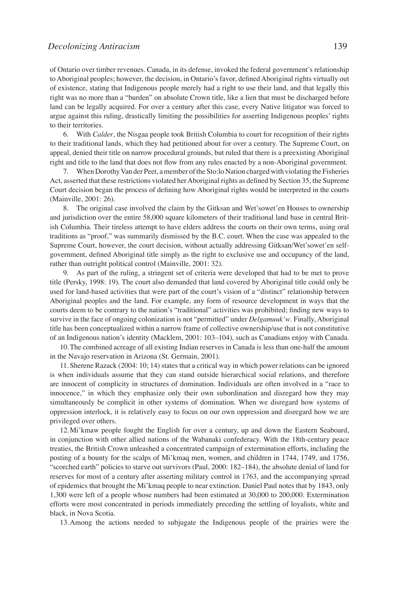#### *Decolonizing Antiracism* 139

of Ontario over timber revenues. Canada, in its defense, invoked the federal government's relationship to Aboriginal peoples; however, the decision, in Ontario's favor, defined Aboriginal rights virtually out of existence, stating that Indigenous people merely had a right to use their land, and that legally this right was no more than a "burden" on absolute Crown title, like a lien that must be discharged before land can be legally acquired. For over a century after this case, every Native litigator was forced to argue against this ruling, drastically limiting the possibilities for asserting Indigenous peoples' rights to their territories.

6. With *Calder*, the Nisgaa people took British Columbia to court for recognition of their rights to their traditional lands, which they had petitioned about for over a century. The Supreme Court, on appeal, denied their title on narrow procedural grounds, but ruled that there is a preexisting Aboriginal right and title to the land that does not flow from any rules enacted by a non-Aboriginal government.

7. When Dorothy Van der Peet, a member of the Sto:lo Nation charged with violating the Fisheries Act, asserted that these restrictions violated her Aboriginal rights as defined by Section 35, the Supreme Court decision began the process of defining how Aboriginal rights would be interpreted in the courts (Mainville, 2001: 26).

8. The original case involved the claim by the Gitksan and Wet'sowet'en Houses to ownership and jurisdiction over the entire 58,000 square kilometers of their traditional land base in central British Columbia. Their tireless attempt to have elders address the courts on their own terms, using oral traditions as "proof," was summarily dismissed by the B.C. court. When the case was appealed to the Supreme Court, however, the court decision, without actually addressing Gitksan/Wet'sowet'en selfgovernment, defined Aboriginal title simply as the right to exclusive use and occupancy of the land, rather than outright political control (Mainville, 2001: 32).

9. As part of the ruling, a stringent set of criteria were developed that had to be met to prove title (Persky, 1998: 19). The court also demanded that land covered by Aboriginal title could only be used for land-based activities that were part of the court's vision of a "distinct" relationship between Aboriginal peoples and the land. For example, any form of resource development in ways that the courts deem to be contrary to the nation's "traditional" activities was prohibited; finding new ways to survive in the face of ongoing colonization is not "permitted" under *Delgamuuk'w*. Finally, Aboriginal title has been conceptualized within a narrow frame of collective ownership/use that is not constitutive of an Indigenous nation's identity (Macklem, 2001: 103–104), such as Canadians enjoy with Canada.

10. The combined acreage of all existing Indian reserves in Canada is less than one-half the amount in the Navajo reservation in Arizona (St. Germain, 2001).

11. Sherene Razack (2004: 10; 14) states that a critical way in which power relations can be ignored is when individuals assume that they can stand outside hierarchical social relations, and therefore are innocent of complicity in structures of domination. Individuals are often involved in a "race to innocence," in which they emphasize only their own subordination and disregard how they may simultaneously be complicit in other systems of domination. When we disregard how systems of oppression interlock, it is relatively easy to focus on our own oppression and disregard how we are privileged over others.

12. Mi'kmaw people fought the English for over a century, up and down the Eastern Seaboard, in conjunction with other allied nations of the Wabanaki confederacy. With the 18th-century peace treaties, the British Crown unleashed a concentrated campaign of extermination efforts, including the posting of a bounty for the scalps of Mi'kmaq men, women, and children in 1744, 1749, and 1756, "scorched earth" policies to starve out survivors (Paul, 2000: 182–184), the absolute denial of land for reserves for most of a century after asserting military control in 1763, and the accompanying spread of epidemics that brought the Mi'kmaq people to near extinction. Daniel Paul notes that by 1843, only 1,300 were left of a people whose numbers had been estimated at 30,000 to 200,000. Extermination efforts were most concentrated in periods immediately preceding the settling of loyalists, white and black, in Nova Scotia.

13. Among the actions needed to subjugate the Indigenous people of the prairies were the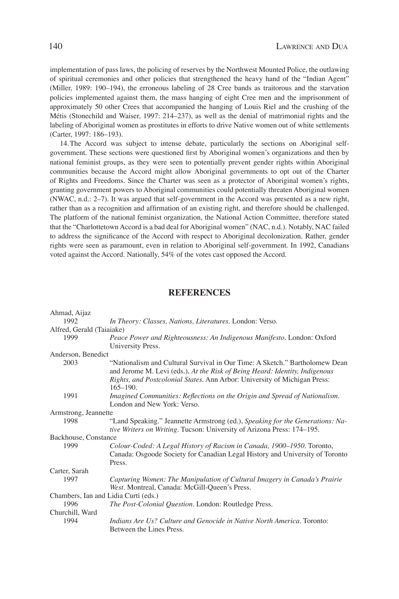implementation of pass laws, the policing of reserves by the Northwest Mounted Police, the outlawing of spiritual ceremonies and other policies that strengthened the heavy hand of the "Indian Agent" (Miller, 1989: 190–194), the erroneous labeling of 28 Cree bands as traitorous and the starvation policies implemented against them, the mass hanging of eight Cree men and the imprisonment of approximately 50 other Crees that accompanied the hanging of Louis Riel and the crushing of the Métis (Stonechild and Waiser, 1997: 214–237), as well as the denial of matrimonial rights and the labeling of Aboriginal women as prostitutes in efforts to drive Native women out of white settlements (Carter, 1997: 186–193).

14. The Accord was subject to intense debate, particularly the sections on Aboriginal selfgovernment. These sections were questioned first by Aboriginal women's organizations and then by national feminist groups, as they were seen to potentially prevent gender rights within Aboriginal communities because the Accord might allow Aboriginal governments to opt out of the Charter of Rights and Freedoms. Since the Charter was seen as a protector of Aboriginal women's rights, granting government powers to Aboriginal communities could potentially threaten Aboriginal women (NWAC, n.d.: 2–7). It was argued that self-government in the Accord was presented as a new right, rather than as a recognition and affirmation of an existing right, and therefore should be challenged. The platform of the national feminist organization, the National Action Committee, therefore stated that the "Charlottetown Accord is a bad deal for Aboriginal women" (NAC, n.d.). Notably, NAC failed to address the significance of the Accord with respect to Aboriginal decolonization. Rather, gender rights were seen as paramount, even in relation to Aboriginal self-government. In 1992, Canadians voted against the Accord. Nationally, 54% of the votes cast opposed the Accord.

#### **REFERENCES**

| Ahmad, Aijaz                         |                                                                                                                                                                                                                                                         |
|--------------------------------------|---------------------------------------------------------------------------------------------------------------------------------------------------------------------------------------------------------------------------------------------------------|
| 1992                                 | In Theory: Classes, Nations, Literatures. London: Verso.                                                                                                                                                                                                |
| Alfred, Gerald (Taiaiake)            |                                                                                                                                                                                                                                                         |
| 1999                                 | Peace Power and Righteousness: An Indigenous Manifesto. London: Oxford<br>University Press.                                                                                                                                                             |
| Anderson, Benedict                   |                                                                                                                                                                                                                                                         |
| 2003                                 | "Nationalism and Cultural Survival in Our Time: A Sketch." Bartholomew Dean<br>and Jerome M. Levi (eds.), At the Risk of Being Heard: Identity, Indigenous<br>Rights, and Postcolonial States. Ann Arbor: University of Michigan Press:<br>$165 - 190.$ |
| 1991                                 | Imagined Communities: Reflections on the Origin and Spread of Nationalism.<br>London and New York: Verso.                                                                                                                                               |
| Armstrong, Jeannette                 |                                                                                                                                                                                                                                                         |
| 1998                                 | "Land Speaking." Jeannette Armstrong (ed.), Speaking for the Generations: Na-<br>tive Writers on Writing. Tucson: University of Arizona Press: 174–195.                                                                                                 |
| Backhouse, Constance                 |                                                                                                                                                                                                                                                         |
| 1999                                 | Colour-Coded: A Legal History of Racism in Canada, 1900–1950. Toronto,<br>Canada: Osgoode Society for Canadian Legal History and University of Toronto<br>Press.                                                                                        |
| Carter, Sarah                        |                                                                                                                                                                                                                                                         |
| 1997                                 | Capturing Women: The Manipulation of Cultural Imagery in Canada's Prairie<br>West. Montreal, Canada: McGill-Queen's Press.                                                                                                                              |
| Chambers, Ian and Lidia Curti (eds.) |                                                                                                                                                                                                                                                         |
| 1996                                 | The Post-Colonial Question. London: Routledge Press.                                                                                                                                                                                                    |
| Churchill, Ward                      |                                                                                                                                                                                                                                                         |
| 1994                                 | Indians Are Us? Culture and Genocide in Native North America. Toronto:<br>Between the Lines Press.                                                                                                                                                      |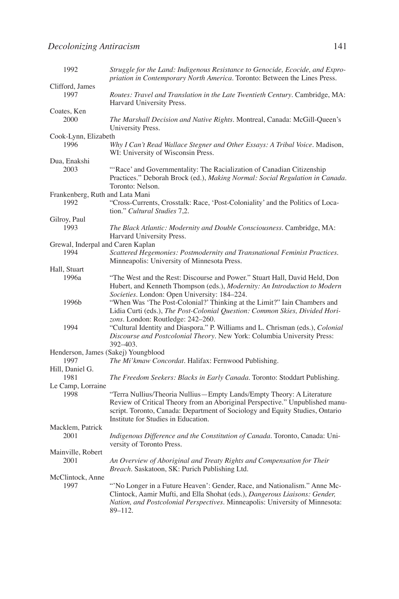### *Decolonizing Antiracism* 141

| 1992                              | Struggle for the Land: Indigenous Resistance to Genocide, Ecocide, and Expro-<br>priation in Contemporary North America. Toronto: Between the Lines Press.                                                                                                                   |
|-----------------------------------|------------------------------------------------------------------------------------------------------------------------------------------------------------------------------------------------------------------------------------------------------------------------------|
| Clifford, James                   |                                                                                                                                                                                                                                                                              |
| 1997                              | Routes: Travel and Translation in the Late Twentieth Century. Cambridge, MA:<br>Harvard University Press.                                                                                                                                                                    |
| Coates, Ken                       |                                                                                                                                                                                                                                                                              |
| 2000                              | The Marshall Decision and Native Rights. Montreal, Canada: McGill-Queen's<br>University Press.                                                                                                                                                                               |
| Cook-Lynn, Elizabeth              |                                                                                                                                                                                                                                                                              |
| 1996                              | Why I Can't Read Wallace Stegner and Other Essays: A Tribal Voice. Madison,<br>WI: University of Wisconsin Press.                                                                                                                                                            |
| Dua, Enakshi                      |                                                                                                                                                                                                                                                                              |
| 2003                              | "'Race' and Governmentality: The Racialization of Canadian Citizenship<br>Practices." Deborah Brock (ed.), Making Normal: Social Regulation in Canada.<br>Toronto: Nelson.                                                                                                   |
| Frankenberg, Ruth and Lata Mani   |                                                                                                                                                                                                                                                                              |
| 1992                              | "Cross-Currents, Crosstalk: Race, 'Post-Coloniality' and the Politics of Loca-<br>tion." Cultural Studies 7.2.                                                                                                                                                               |
| Gilroy, Paul                      |                                                                                                                                                                                                                                                                              |
| 1993                              | The Black Atlantic: Modernity and Double Consciousness. Cambridge, MA:<br>Harvard University Press.                                                                                                                                                                          |
| Grewal, Inderpal and Caren Kaplan |                                                                                                                                                                                                                                                                              |
| 1994                              | Scattered Hegemonies: Postmodernity and Transnational Feminist Practices.<br>Minneapolis: University of Minnesota Press.                                                                                                                                                     |
| Hall, Stuart                      |                                                                                                                                                                                                                                                                              |
| 1996a                             | "The West and the Rest: Discourse and Power." Stuart Hall, David Held, Don<br>Hubert, and Kenneth Thompson (eds.), Modernity: An Introduction to Modern                                                                                                                      |
| 1996b                             | Societies. London: Open University: 184-224.<br>"When Was 'The Post-Colonial?' Thinking at the Limit?" Iain Chambers and<br>Lidia Curti (eds.), The Post-Colonial Question: Common Skies, Divided Hori-                                                                      |
| 1994                              | zons. London: Routledge: 242-260.<br>"Cultural Identity and Diaspora." P. Williams and L. Chrisman (eds.), Colonial<br>Discourse and Postcolonial Theory. New York: Columbia University Press:<br>392-403.                                                                   |
|                                   | Henderson, James (Sakej) Youngblood                                                                                                                                                                                                                                          |
| 1997                              | The Mi'kmaw Concordat. Halifax: Fernwood Publishing.                                                                                                                                                                                                                         |
| Hill, Daniel G.                   |                                                                                                                                                                                                                                                                              |
| 1981                              | The Freedom Seekers: Blacks in Early Canada. Toronto: Stoddart Publishing.                                                                                                                                                                                                   |
| Le Camp, Lorraine                 |                                                                                                                                                                                                                                                                              |
| 1998                              | "Terra Nullius/Theoria Nullius—Empty Lands/Empty Theory: A Literature<br>Review of Critical Theory from an Aboriginal Perspective." Unpublished manu-<br>script. Toronto, Canada: Department of Sociology and Equity Studies, Ontario<br>Institute for Studies in Education. |
| Macklem, Patrick                  |                                                                                                                                                                                                                                                                              |
| 2001                              | Indigenous Difference and the Constitution of Canada. Toronto, Canada: Uni-<br>versity of Toronto Press.                                                                                                                                                                     |
| Mainville, Robert                 |                                                                                                                                                                                                                                                                              |
| 2001                              | An Overview of Aboriginal and Treaty Rights and Compensation for Their<br>Breach. Saskatoon, SK: Purich Publishing Ltd.                                                                                                                                                      |
| McClintock, Anne                  |                                                                                                                                                                                                                                                                              |
| 1997                              | "No Longer in a Future Heaven': Gender, Race, and Nationalism." Anne Mc-<br>Clintock, Aamir Mufti, and Ella Shohat (eds.), Dangerous Liaisons: Gender,<br>Nation, and Postcolonial Perspectives. Minneapolis: University of Minnesota:<br>89-112.                            |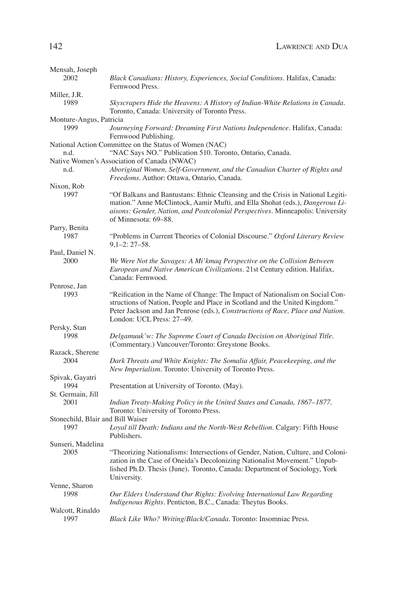| Mensah, Joseph<br>2002                    | Black Canadians: History, Experiences, Social Conditions. Halifax, Canada:                                                                                                                                                                                                 |
|-------------------------------------------|----------------------------------------------------------------------------------------------------------------------------------------------------------------------------------------------------------------------------------------------------------------------------|
|                                           | Fernwood Press.                                                                                                                                                                                                                                                            |
| Miller, J.R.<br>1989                      | Skyscrapers Hide the Heavens: A History of Indian-White Relations in Canada.<br>Toronto, Canada: University of Toronto Press.                                                                                                                                              |
| Monture-Angus, Patricia                   |                                                                                                                                                                                                                                                                            |
| 1999                                      | Journeying Forward: Dreaming First Nations Independence. Halifax, Canada:<br>Fernwood Publishing.                                                                                                                                                                          |
|                                           | National Action Committee on the Status of Women (NAC)                                                                                                                                                                                                                     |
| n.d.                                      | "NAC Says NO." Publication 510. Toronto, Ontario, Canada.                                                                                                                                                                                                                  |
|                                           | Native Women's Association of Canada (NWAC)                                                                                                                                                                                                                                |
| n.d.                                      | Aboriginal Women, Self-Government, and the Canadian Charter of Rights and<br>Freedoms. Author: Ottawa, Ontario, Canada.                                                                                                                                                    |
| Nixon, Rob                                |                                                                                                                                                                                                                                                                            |
| 1997                                      | "Of Balkans and Bantustans: Ethnic Cleansing and the Crisis in National Legiti-<br>mation." Anne McClintock, Aamir Mufti, and Ella Shohat (eds.), Dangerous Li-<br>aisons: Gender, Nation, and Postcolonial Perspectives. Minneapolis: University<br>of Minnesota: 69–88.  |
| Parry, Benita                             |                                                                                                                                                                                                                                                                            |
| 1987                                      | "Problems in Current Theories of Colonial Discourse." Oxford Literary Review<br>$9,1-2:27-58.$                                                                                                                                                                             |
| Paul, Daniel N.                           |                                                                                                                                                                                                                                                                            |
| 2000                                      | We Were Not the Savages: A Mi'kmaq Perspective on the Collision Between<br>European and Native American Civilizations. 21st Century edition. Halifax,                                                                                                                      |
|                                           | Canada: Fernwood.                                                                                                                                                                                                                                                          |
| Penrose, Jan<br>1993                      | "Reification in the Name of Change: The Impact of Nationalism on Social Con-<br>structions of Nation, People and Place in Scotland and the United Kingdom."<br>Peter Jackson and Jan Penrose (eds.), Constructions of Race, Place and Nation.<br>London: UCL Press: 27-49. |
| Persky, Stan                              |                                                                                                                                                                                                                                                                            |
| 1998                                      | Delgamuuk'w: The Supreme Court of Canada Decision on Aboriginal Title.<br>(Commentary.) Vancouver/Toronto: Greystone Books.                                                                                                                                                |
| Razack, Sherene                           |                                                                                                                                                                                                                                                                            |
| 2004                                      | Dark Threats and White Knights: The Somalia Affair, Peacekeeping, and the<br>New Imperialism. Toronto: University of Toronto Press.                                                                                                                                        |
| Spivak, Gayatri                           |                                                                                                                                                                                                                                                                            |
| 1994<br>St. Germain, Jill                 | Presentation at University of Toronto. (May).                                                                                                                                                                                                                              |
| 2001                                      | Indian Treaty-Making Policy in the United States and Canada, 1867-1877.<br>Toronto: University of Toronto Press.                                                                                                                                                           |
| Stonechild, Blair and Bill Waiser<br>1997 | Loyal till Death: Indians and the North-West Rebellion. Calgary: Fifth House                                                                                                                                                                                               |
|                                           | Publishers.                                                                                                                                                                                                                                                                |
| Sunseri, Madelina<br>2005                 | "Theorizing Nationalisms: Intersections of Gender, Nation, Culture, and Coloni-<br>zation in the Case of Oneida's Decolonizing Nationalist Movement." Unpub-<br>lished Ph.D. Thesis (June). Toronto, Canada: Department of Sociology, York<br>University.                  |
| Venne, Sharon                             |                                                                                                                                                                                                                                                                            |
| 1998                                      | Our Elders Understand Our Rights: Evolving International Law Regarding<br>Indigenous Rights. Penticton, B.C., Canada: Theytus Books.                                                                                                                                       |
| Walcott, Rinaldo<br>1997                  | Black Like Who? Writing/Black/Canada. Toronto: Insomniac Press.                                                                                                                                                                                                            |